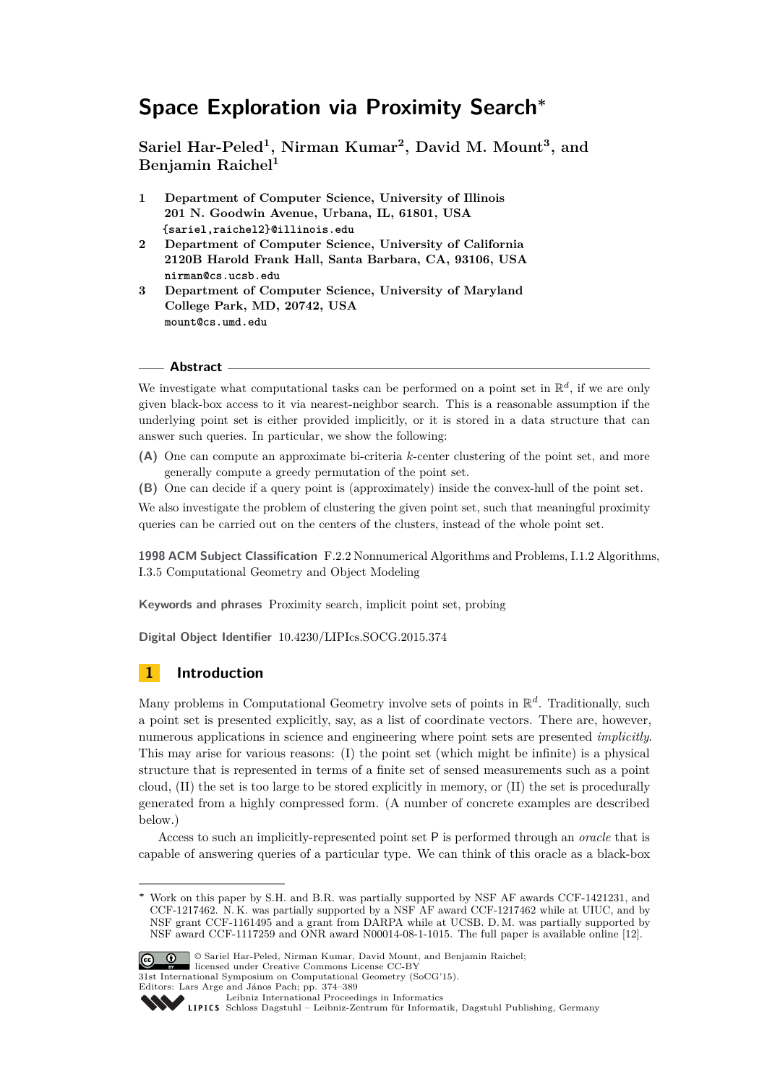# **Space Exploration via Proximity Search<sup>∗</sup>**

**Sariel Har-Peled<sup>1</sup> , Nirman Kumar<sup>2</sup> , David M. Mount<sup>3</sup> , and Benjamin Raichel<sup>1</sup>**

- **1 Department of Computer Science, University of Illinois 201 N. Goodwin Avenue, Urbana, IL, 61801, USA {sariel,raichel2}@illinois.edu**
- **2 Department of Computer Science, University of California 2120B Harold Frank Hall, Santa Barbara, CA, 93106, USA nirman@cs.ucsb.edu**
- **3 Department of Computer Science, University of Maryland College Park, MD, 20742, USA mount@cs.umd.edu**

#### **Abstract**

We investigate what computational tasks can be performed on a point set in  $\mathbb{R}^d$ , if we are only given black-box access to it via nearest-neighbor search. This is a reasonable assumption if the underlying point set is either provided implicitly, or it is stored in a data structure that can answer such queries. In particular, we show the following:

- **(A)** One can compute an approximate bi-criteria *k*-center clustering of the point set, and more generally compute a greedy permutation of the point set.
- **(B)** One can decide if a query point is (approximately) inside the convex-hull of the point set.

We also investigate the problem of clustering the given point set, such that meaningful proximity queries can be carried out on the centers of the clusters, instead of the whole point set.

**1998 ACM Subject Classification** F.2.2 Nonnumerical Algorithms and Problems, I.1.2 Algorithms, I.3.5 Computational Geometry and Object Modeling

**Keywords and phrases** Proximity search, implicit point set, probing

**Digital Object Identifier** [10.4230/LIPIcs.SOCG.2015.374](http://dx.doi.org/10.4230/LIPIcs.SOCG.2015.374)

# **1 Introduction**

Many problems in Computational Geometry involve sets of points in R *d* . Traditionally, such a point set is presented explicitly, say, as a list of coordinate vectors. There are, however, numerous applications in science and engineering where point sets are presented *implicitly*. This may arise for various reasons: (I) the point set (which might be infinite) is a physical structure that is represented in terms of a finite set of sensed measurements such as a point cloud, (II) the set is too large to be stored explicitly in memory, or (II) the set is procedurally generated from a highly compressed form. (A number of concrete examples are described below.)

Access to such an implicitly-represented point set P is performed through an *oracle* that is capable of answering queries of a particular type. We can think of this oracle as a black-box

Work on this paper by S.H. and B.R. was partially supported by NSF AF awards CCF-1421231, and CCF-1217462. N. K. was partially supported by a NSF AF award CCF-1217462 while at UIUC, and by NSF grant CCF-1161495 and a grant from DARPA while at UCSB. D. M. was partially supported by NSF award CCF-1117259 and ONR award N00014-08-1-1015. The full paper is available online [\[12\]](#page-14-0).



<sup>©</sup> Sariel Har-Peled, Nirman Kumar, David Mount, and Benjamin Raichel;

licensed under Creative Commons License CC-BY 31st International Symposium on Computational Geometry (SoCG'15).

Editors: Lars Arge and János Pach; pp. 374[–389](#page-15-0)

[Leibniz International Proceedings in Informatics](http://www.dagstuhl.de/lipics/)

Leibniz international Froceedings in informatik, Dagstuhl Publishing, Germany<br>LIPICS [Schloss Dagstuhl – Leibniz-Zentrum für Informatik, Dagstuhl Publishing, Germany](http://www.dagstuhl.de)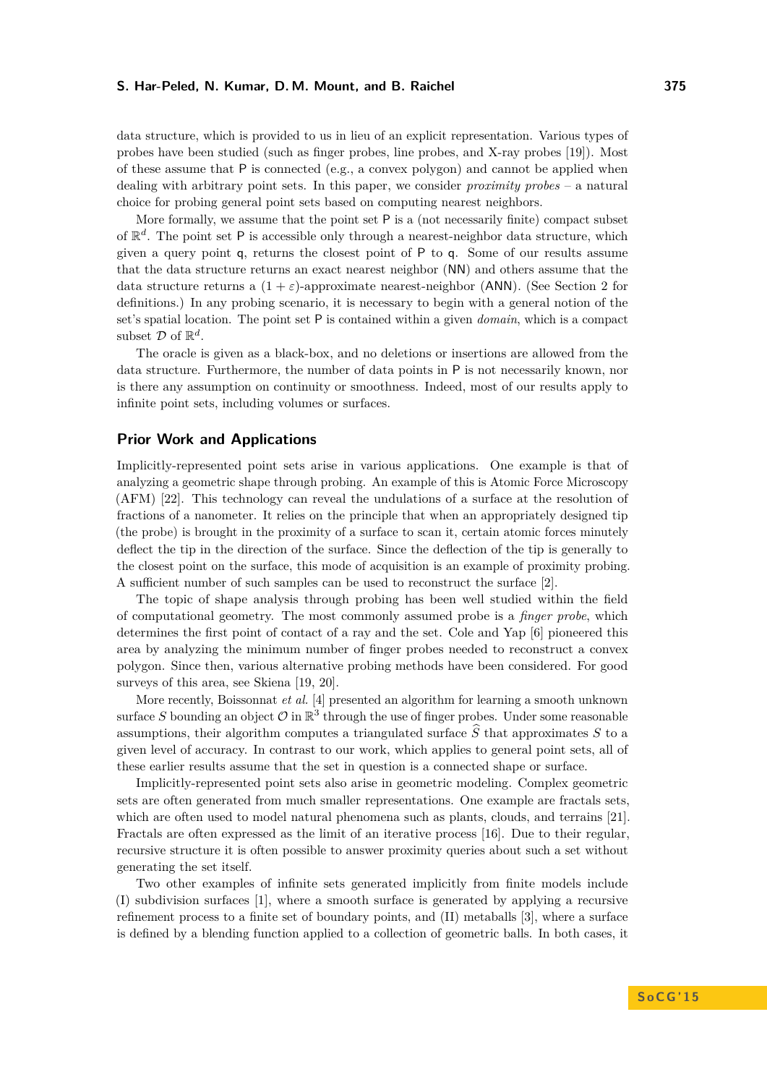data structure, which is provided to us in lieu of an explicit representation. Various types of probes have been studied (such as finger probes, line probes, and X-ray probes [\[19\]](#page-14-1)). Most of these assume that  $P$  is connected (e.g., a convex polygon) and cannot be applied when dealing with arbitrary point sets. In this paper, we consider *proximity probes* – a natural choice for probing general point sets based on computing nearest neighbors.

More formally, we assume that the point set  $P$  is a (not necessarily finite) compact subset of  $\mathbb{R}^d$ . The point set P is accessible only through a nearest-neighbor data structure, which given a query point q, returns the closest point of P to q. Some of our results assume that the data structure returns an exact nearest neighbor (NN) and others assume that the data structure returns a  $(1 + \varepsilon)$ -approximate nearest-neighbor (ANN). (See Section [2](#page-3-0) for definitions.) In any probing scenario, it is necessary to begin with a general notion of the set's spatial location. The point set P is contained within a given *domain*, which is a compact subset  $D$  of  $\mathbb{R}^d$ .

The oracle is given as a black-box, and no deletions or insertions are allowed from the data structure. Furthermore, the number of data points in P is not necessarily known, nor is there any assumption on continuity or smoothness. Indeed, most of our results apply to infinite point sets, including volumes or surfaces.

## **Prior Work and Applications**

Implicitly-represented point sets arise in various applications. One example is that of analyzing a geometric shape through probing. An example of this is Atomic Force Microscopy (AFM) [\[22\]](#page-15-1). This technology can reveal the undulations of a surface at the resolution of fractions of a nanometer. It relies on the principle that when an appropriately designed tip (the probe) is brought in the proximity of a surface to scan it, certain atomic forces minutely deflect the tip in the direction of the surface. Since the deflection of the tip is generally to the closest point on the surface, this mode of acquisition is an example of proximity probing. A sufficient number of such samples can be used to reconstruct the surface [\[2\]](#page-14-2).

The topic of shape analysis through probing has been well studied within the field of computational geometry. The most commonly assumed probe is a *finger probe*, which determines the first point of contact of a ray and the set. Cole and Yap [\[6\]](#page-14-3) pioneered this area by analyzing the minimum number of finger probes needed to reconstruct a convex polygon. Since then, various alternative probing methods have been considered. For good surveys of this area, see Skiena [\[19,](#page-14-1) [20\]](#page-14-4).

More recently, Boissonnat *et al.* [\[4\]](#page-14-5) presented an algorithm for learning a smooth unknown surface S bounding an object  $\mathcal O$  in  $\mathbb R^3$  through the use of finger probes. Under some reasonable assumptions, their algorithm computes a triangulated surface  $\hat{S}$  that approximates  $S$  to a given level of accuracy. In contrast to our work, which applies to general point sets, all of these earlier results assume that the set in question is a connected shape or surface.

Implicitly-represented point sets also arise in geometric modeling. Complex geometric sets are often generated from much smaller representations. One example are fractals sets, which are often used to model natural phenomena such as plants, clouds, and terrains [\[21\]](#page-15-2). Fractals are often expressed as the limit of an iterative process [\[16\]](#page-14-6). Due to their regular, recursive structure it is often possible to answer proximity queries about such a set without generating the set itself.

Two other examples of infinite sets generated implicitly from finite models include (I) subdivision surfaces [\[1\]](#page-14-7), where a smooth surface is generated by applying a recursive refinement process to a finite set of boundary points, and (II) metaballs [\[3\]](#page-14-8), where a surface is defined by a blending function applied to a collection of geometric balls. In both cases, it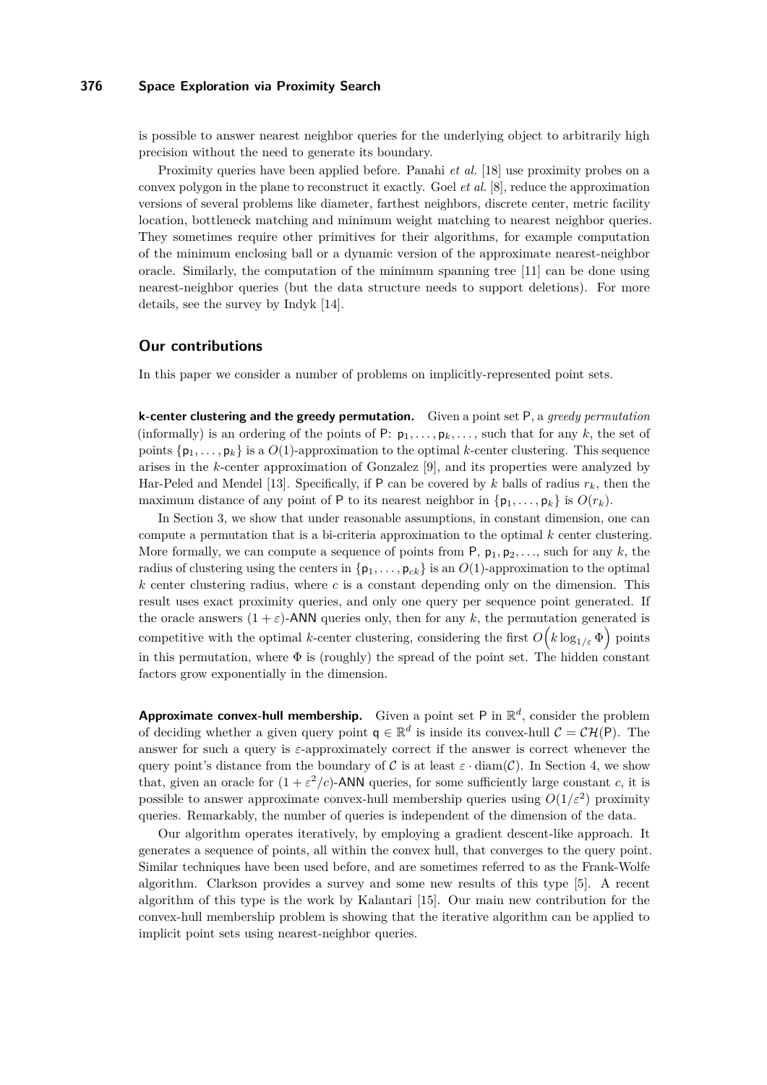## **376 Space Exploration via Proximity Search**

is possible to answer nearest neighbor queries for the underlying object to arbitrarily high precision without the need to generate its boundary.

Proximity queries have been applied before. Panahi *et al.* [\[18\]](#page-14-9) use proximity probes on a convex polygon in the plane to reconstruct it exactly. Goel *et al.* [\[8\]](#page-14-10), reduce the approximation versions of several problems like diameter, farthest neighbors, discrete center, metric facility location, bottleneck matching and minimum weight matching to nearest neighbor queries. They sometimes require other primitives for their algorithms, for example computation of the minimum enclosing ball or a dynamic version of the approximate nearest-neighbor oracle. Similarly, the computation of the minimum spanning tree [\[11\]](#page-14-11) can be done using nearest-neighbor queries (but the data structure needs to support deletions). For more details, see the survey by Indyk [\[14\]](#page-14-12).

### **Our contributions**

In this paper we consider a number of problems on implicitly-represented point sets.

**k-center clustering and the greedy permutation.** Given a point set P, a *greedy permutation* (informally) is an ordering of the points of P:  $p_1, \ldots, p_k, \ldots$ , such that for any k, the set of points  $\{p_1, \ldots, p_k\}$  is a  $O(1)$ -approximation to the optimal *k*-center clustering. This sequence arises in the *k*-center approximation of Gonzalez [\[9\]](#page-14-13), and its properties were analyzed by Har-Peled and Mendel [\[13\]](#page-14-14). Specifically, if P can be covered by  $k$  balls of radius  $r_k$ , then the maximum distance of any point of P to its nearest neighbor in  $\{p_1, \ldots, p_k\}$  is  $O(r_k)$ .

In Section [3,](#page-4-0) we show that under reasonable assumptions, in constant dimension, one can compute a permutation that is a bi-criteria approximation to the optimal *k* center clustering. More formally, we can compute a sequence of points from  $P$ ,  $p_1$ ,  $p_2$ , ..., such for any k, the radius of clustering using the centers in  $\{p_1, \ldots, p_{ck}\}\$ is an  $O(1)$ -approximation to the optimal *k* center clustering radius, where *c* is a constant depending only on the dimension. This result uses exact proximity queries, and only one query per sequence point generated. If the oracle answers  $(1 + \varepsilon)$ -ANN queries only, then for any k, the permutation generated is competitive with the optimal *k*-center clustering, considering the first  $O(k \log_{1/\varepsilon} \Phi)$  points in this permutation, where  $\Phi$  is (roughly) the spread of the point set. The hidden constant factors grow exponentially in the dimension.

**Approximate convex-hull membership.** Given a point set P in  $\mathbb{R}^d$ , consider the problem of deciding whether a given query point  $q \in \mathbb{R}^d$  is inside its convex-hull  $C = \mathcal{CH}(P)$ . The answer for such a query is *ε*-approximately correct if the answer is correct whenever the query point's distance from the boundary of C is at least  $\varepsilon \cdot \text{diam}(\mathcal{C})$ . In Section [4,](#page-8-0) we show that, given an oracle for  $(1 + \varepsilon^2/c)$ -ANN queries, for some sufficiently large constant *c*, it is possible to answer approximate convex-hull membership queries using  $O(1/\varepsilon^2)$  proximity queries. Remarkably, the number of queries is independent of the dimension of the data.

Our algorithm operates iteratively, by employing a gradient descent-like approach. It generates a sequence of points, all within the convex hull, that converges to the query point. Similar techniques have been used before, and are sometimes referred to as the Frank-Wolfe algorithm. Clarkson provides a survey and some new results of this type [\[5\]](#page-14-15). A recent algorithm of this type is the work by Kalantari [\[15\]](#page-14-16). Our main new contribution for the convex-hull membership problem is showing that the iterative algorithm can be applied to implicit point sets using nearest-neighbor queries.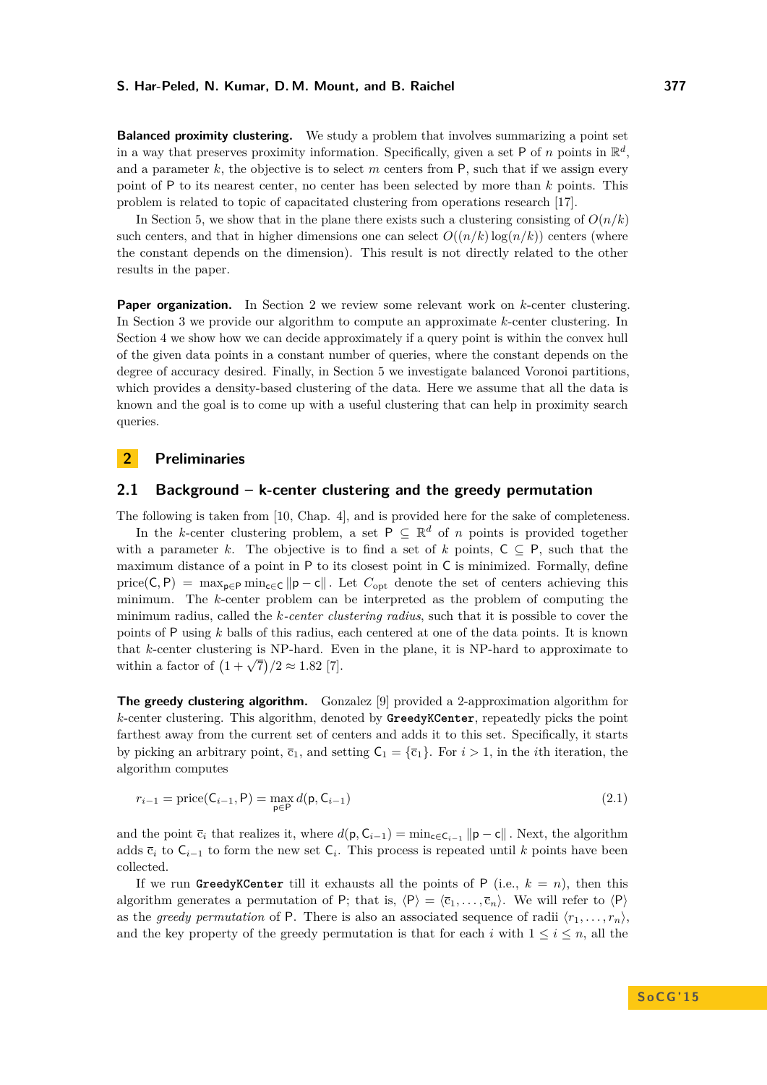**Balanced proximity clustering.** We study a problem that involves summarizing a point set in a way that preserves proximity information. Specifically, given a set P of *n* points in  $\mathbb{R}^d$ , and a parameter  $k$ , the objective is to select  $m$  centers from  $P$ , such that if we assign every point of P to its nearest center, no center has been selected by more than *k* points. This problem is related to topic of capacitated clustering from operations research [\[17\]](#page-14-17).

In Section [5,](#page-12-0) we show that in the plane there exists such a clustering consisting of  $O(n/k)$ such centers, and that in higher dimensions one can select  $O((n/k)\log(n/k))$  centers (where the constant depends on the dimension). This result is not directly related to the other results in the paper.

**Paper organization.** In Section [2](#page-3-0) we review some relevant work on *k*-center clustering. In Section [3](#page-4-0) we provide our algorithm to compute an approximate *k*-center clustering. In Section [4](#page-8-0) we show how we can decide approximately if a query point is within the convex hull of the given data points in a constant number of queries, where the constant depends on the degree of accuracy desired. Finally, in Section [5](#page-12-0) we investigate balanced Voronoi partitions, which provides a density-based clustering of the data. Here we assume that all the data is known and the goal is to come up with a useful clustering that can help in proximity search queries.

## <span id="page-3-0"></span>**2 Preliminaries**

#### **2.1 Background – k-center clustering and the greedy permutation**

The following is taken from [\[10,](#page-14-18) Chap. 4], and is provided here for the sake of completeness.

In the *k*-center clustering problem, a set  $P \subseteq \mathbb{R}^d$  of *n* points is provided together with a parameter *k*. The objective is to find a set of *k* points,  $C \subseteq P$ , such that the maximum distance of a point in P to its closest point in C is minimized. Formally, define price(C, P) =  $\max_{p \in P} \min_{c \in C} ||p - c||$ . Let  $C_{opt}$  denote the set of centers achieving this minimum. The *k*-center problem can be interpreted as the problem of computing the minimum radius, called the *k-center clustering radius*, such that it is possible to cover the points of P using *k* balls of this radius, each centered at one of the data points. It is known that *k*-center clustering is NP-hard. Even in the plane, it is NP-hard to approximate to within a factor of  $(1 + \sqrt{7})/2 \approx 1.82$  [\[7\]](#page-14-19).

**The greedy clustering algorithm.** Gonzalez [\[9\]](#page-14-13) provided a 2-approximation algorithm for *k*-center clustering. This algorithm, denoted by **GreedyKCenter**, repeatedly picks the point farthest away from the current set of centers and adds it to this set. Specifically, it starts by picking an arbitrary point,  $\bar{c}_1$ , and setting  $C_1 = {\bar{c}_1}$ . For  $i > 1$ , in the *i*th iteration, the algorithm computes

$$
r_{i-1} = \text{price}(C_{i-1}, P) = \max_{p \in P} d(p, C_{i-1})
$$
\n(2.1)

and the point  $\bar{c}_i$  that realizes it, where  $d(\mathbf{p}, \mathbf{C}_{i-1}) = \min_{\mathbf{c} \in \mathbf{C}_{i-1}} ||\mathbf{p} - \mathbf{c}||$ . Next, the algorithm adds  $\bar{c}_i$  to  $C_{i-1}$  to form the new set  $C_i$ . This process is repeated until *k* points have been collected.

If we run **GreedyKCenter** till it exhausts all the points of P (i.e.,  $k = n$ ), then this algorithm generates a permutation of P; that is,  $\langle P \rangle = \langle \overline{c}_1, \ldots, \overline{c}_n \rangle$ . We will refer to  $\langle P \rangle$ as the *greedy permutation* of P. There is also an associated sequence of radii  $\langle r_1, \ldots, r_n \rangle$ , and the key property of the greedy permutation is that for each *i* with  $1 \leq i \leq n$ , all the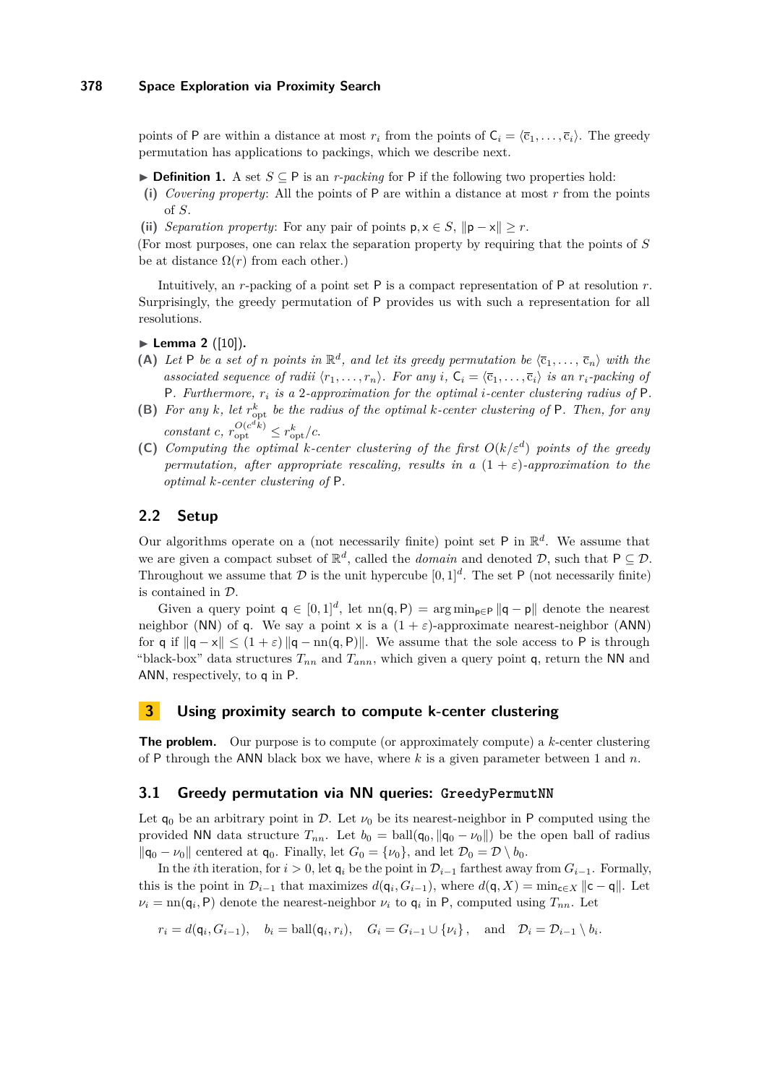## **378 Space Exploration via Proximity Search**

points of P are within a distance at most  $r_i$  from the points of  $C_i = \langle \overline{c}_1, \ldots, \overline{c}_i \rangle$ . The greedy permutation has applications to packings, which we describe next.

**► Definition 1.** A set  $S \subseteq P$  is an *r-packing* for P if the following two properties hold:

- **(i)** *Covering property*: All the points of P are within a distance at most *r* from the points of *S*.
- (ii) *Separation property:* For any pair of points  $p, x \in S$ ,  $||p x|| \geq r$ .

(For most purposes, one can relax the separation property by requiring that the points of *S* be at distance  $\Omega(r)$  from each other.)

Intuitively, an *r*-packing of a point set P is a compact representation of P at resolution *r*. Surprisingly, the greedy permutation of P provides us with such a representation for all resolutions.

► Lemma 2 ([\[10\]](#page-14-18)).

- (A) Let P be a set of *n* points in  $\mathbb{R}^d$ , and let its greedy permutation be  $\langle \overline{c}_1, \ldots, \overline{c}_n \rangle$  with the *associated sequence of radii*  $\langle r_1, \ldots, r_n \rangle$ *. For any i*,  $C_i = \langle \overline{c}_1, \ldots, \overline{c}_i \rangle$  *is an r<sub>i</sub>-packing of* P*. Furthermore, r<sup>i</sup> is a* 2*-approximation for the optimal i-center clustering radius of* P*.*
- <span id="page-4-2"></span>**(B)** For any  $k$ , let  $r_{\text{opt}}^k$  be the radius of the optimal  $k$ -center clustering of  $P$ . Then, for any  $constant \ c, r_{opt}^{O(c^d k)} \leq r_{opt}^k/c.$
- **(C)** *Computing the optimal k-center clustering of the first O*(*k/ε<sup>d</sup>* ) *points of the greedy permutation, after appropriate rescaling, results in a*  $(1 + \varepsilon)$ *-approximation to the optimal k-center clustering of* P*.*

# **2.2 Setup**

Our algorithms operate on a (not necessarily finite) point set  $P$  in  $\mathbb{R}^d$ . We assume that we are given a compact subset of  $\mathbb{R}^d$ , called the *domain* and denoted  $\mathcal{D}$ , such that  $P \subseteq \mathcal{D}$ . Throughout we assume that  $D$  is the unit hypercube  $[0,1]^d$ . The set P (not necessarily finite) is contained in D.

Given a query point  $q \in [0,1]^d$ , let  $nn(q, P) = arg min_{p \in P} ||q - p||$  denote the nearest neighbor (NN) of q. We say a point  $x$  is a  $(1 + \varepsilon)$ -approximate nearest-neighbor (ANN) for q if  $\|q - x\| \leq (1 + \varepsilon) \|q - n\| \leq \varepsilon$ . We assume that the sole access to P is through "black-box" data structures  $T_{nn}$  and  $T_{ann}$ , which given a query point q, return the NN and ANN, respectively, to q in P.

# <span id="page-4-0"></span>**3 Using proximity search to compute k-center clustering**

**The problem.** Our purpose is to compute (or approximately compute) a *k*-center clustering of P through the ANN black box we have, where *k* is a given parameter between 1 and *n*.

#### <span id="page-4-1"></span>**3.1 Greedy permutation via NN queries: GreedyPermutNN**

Let  $q_0$  be an arbitrary point in D. Let  $\nu_0$  be its nearest-neighbor in P computed using the provided NN data structure  $T_{nn}$ . Let  $b_0 = \text{ball}(\mathbf{q}_0, \|\mathbf{q}_0 - \nu_0\|)$  be the open ball of radius  $\|\mathbf{q}_0 - \nu_0\|$  centered at  $\mathbf{q}_0$ . Finally, let  $G_0 = {\nu_0}$ , and let  $\mathcal{D}_0 = \mathcal{D} \setminus b_0$ .

In the *i*th iteration, for *i >* 0, let q*<sup>i</sup>* be the point in D*i*−<sup>1</sup> farthest away from *Gi*−1. Formally, this is the point in  $\mathcal{D}_{i-1}$  that maximizes  $d(\mathbf{q}_i, G_{i-1})$ , where  $d(\mathbf{q}, X) = \min_{\mathbf{c} \in X} ||\mathbf{c} - \mathbf{q}||$ . Let  $\nu_i = \text{nn}(\mathsf{q}_i, \mathsf{P})$  denote the nearest-neighbor  $\nu_i$  to  $\mathsf{q}_i$  in P, computed using  $T_{nn}$ . Let

 $r_i = d(\mathsf{q}_i, G_{i-1}), \quad b_i = \text{ball}(\mathsf{q}_i, r_i), \quad G_i = G_{i-1} \cup \{\nu_i\}, \quad \text{and} \quad \mathcal{D}_i = \mathcal{D}_{i-1} \setminus b_i.$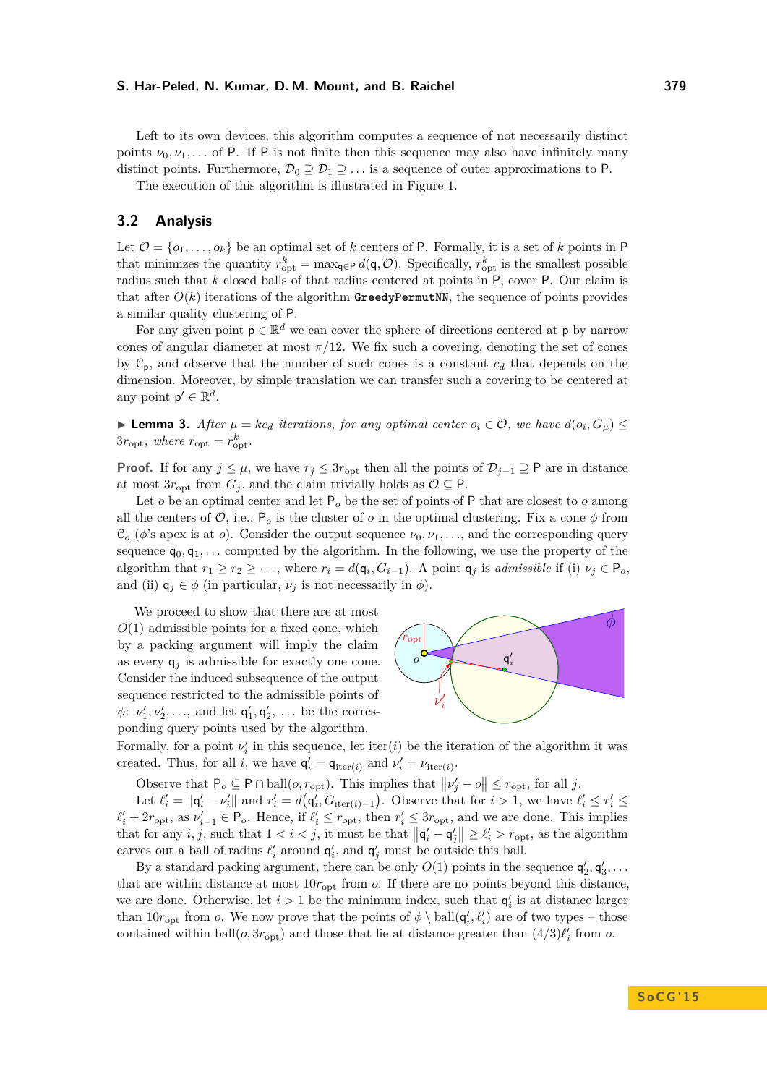Left to its own devices, this algorithm computes a sequence of not necessarily distinct points  $\nu_0, \nu_1, \ldots$  of P. If P is not finite then this sequence may also have infinitely many distinct points. Furthermore,  $\mathcal{D}_0 \supseteq \mathcal{D}_1 \supseteq \ldots$  is a sequence of outer approximations to P.

The execution of this algorithm is illustrated in Figure [1.](#page-6-0)

# **3.2 Analysis**

Let  $\mathcal{O} = \{o_1, \ldots, o_k\}$  be an optimal set of *k* centers of P. Formally, it is a set of *k* points in P that minimizes the quantity  $r_{\text{opt}}^k = \max_{\mathbf{q} \in \mathsf{P}} d(\mathbf{q}, \mathcal{O})$ . Specifically,  $r_{\text{opt}}^k$  is the smallest possible radius such that *k* closed balls of that radius centered at points in P, cover P. Our claim is that after  $O(k)$  iterations of the algorithm **GreedyPermutNN**, the sequence of points provides a similar quality clustering of P.

For any given point  $p \in \mathbb{R}^d$  we can cover the sphere of directions centered at p by narrow cones of angular diameter at most  $\pi/12$ . We fix such a covering, denoting the set of cones by  $\mathcal{C}_p$ , and observe that the number of such cones is a constant  $c_d$  that depends on the dimension. Moreover, by simple translation we can transfer such a covering to be centered at any point  $p' \in \mathbb{R}^d$ .

<span id="page-5-0"></span>► **Lemma 3.** *After*  $\mu = kc_d$  *iterations, for any optimal center*  $o_i \in \mathcal{O}$ *, we have*  $d(o_i, G_{\mu}) \leq$  $3r_{\rm opt}$ *, where*  $r_{\rm opt} = r_{\rm opt}^k$ *.* 

**Proof.** If for any  $j \leq \mu$ , we have  $r_j \leq 3r$ <sub>opt</sub> then all the points of  $\mathcal{D}_{j-1} \supseteq \mathsf{P}$  are in distance at most  $3r_{\text{opt}}$  from  $G_j$ , and the claim trivially holds as  $\mathcal{O} \subseteq \mathsf{P}$ .

Let *o* be an optimal center and let  $P_0$  be the set of points of P that are closest to *o* among all the centers of  $\mathcal{O}$ , i.e.,  $P_o$  is the cluster of  $o$  in the optimal clustering. Fix a cone  $\phi$  from  $\mathcal{C}_o$  ( $\phi$ 's apex is at *o*). Consider the output sequence  $\nu_0, \nu_1, \ldots$ , and the corresponding query sequence  $q_0, q_1, \ldots$  computed by the algorithm. In the following, we use the property of the algorithm that  $r_1 \geq r_2 \geq \cdots$ , where  $r_i = d(\mathsf{q}_i, G_{i-1})$ . A point  $\mathsf{q}_j$  is *admissible* if (i)  $\nu_j \in \mathsf{P}_o$ , and (ii)  $q_i \in \phi$  (in particular,  $\nu_i$  is not necessarily in  $\phi$ ).

We proceed to show that there are at most  $O(1)$  admissible points for a fixed cone, which by a packing argument will imply the claim as every  $q_j$  is admissible for exactly one cone. Consider the induced subsequence of the output sequence restricted to the admissible points of  $\phi: \nu'_1, \nu'_2, \ldots$ , and let  $\mathsf{q}'_1, \mathsf{q}'_2, \ldots$  be the corresponding query points used by the algorithm.



Formally, for a point  $\nu'_i$  in this sequence, let iter(*i*) be the iteration of the algorithm it was created. Thus, for all *i*, we have  $\mathbf{q}'_i = \mathbf{q}_{\text{iter}(i)}$  and  $\nu'_i = \nu_{\text{iter}(i)}$ .

Observe that  $P_o \subseteq P \cap \text{ball}(o, r_{\text{opt}})$ . This implies that  $||\nu'_j - o|| \le r_{\text{opt}}$ , for all *j*.

Let  $\ell'_i = ||\mathbf{q}'_i - \nu'_i||$  and  $r'_i = d(\mathbf{q}'_i, G_{\text{iter}(i)-1})$ . Observe that for  $i > 1$ , we have  $\ell'_i \leq r'_i \leq$  $\ell'_i + 2r_{\text{opt}}$ , as  $\nu'_{i-1} \in \mathsf{P}_o$ . Hence, if  $\ell'_i \leq r_{\text{opt}}$ , then  $r'_i \leq 3r_{\text{opt}}$ , and we are done. This implies that for any *i, j*, such that  $1 < i < j$ , it must be that  $||\mathbf{q}'_i - \mathbf{q}'_j|| \geq \ell'_i > r_{\text{opt}}$ , as the algorithm carves out a ball of radius  $\ell'_i$  around  $\mathsf{q}'_i$ , and  $\mathsf{q}'_j$  must be outside this ball.

By a standard packing argument, there can be only  $O(1)$  points in the sequence  $\mathsf{q}'_2, \mathsf{q}'_3, \ldots$ that are within distance at most  $10r_{\rm opt}$  from *o*. If there are no points beyond this distance, we are done. Otherwise, let  $i > 1$  be the minimum index, such that  $\mathsf{q}'_i$  is at distance larger than  $10r_{\text{opt}}$  from *o*. We now prove that the points of  $\phi \setminus \text{ball}(q'_i, \ell'_i)$  are of two types – those contained within ball $(o, 3r_{opt})$  and those that lie at distance greater than  $(4/3)\ell'_i$  from *o*.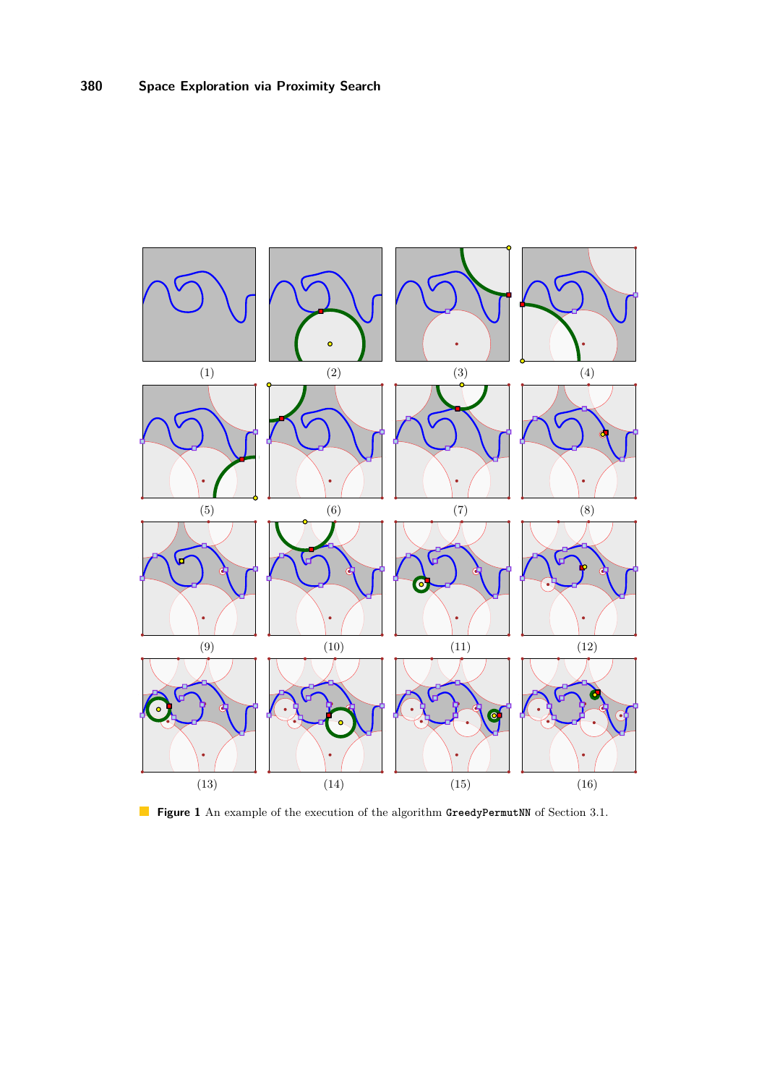<span id="page-6-0"></span>

**Figure 1** An example of the execution of the algorithm GreedyPermutNN of Section [3.1.](#page-4-1)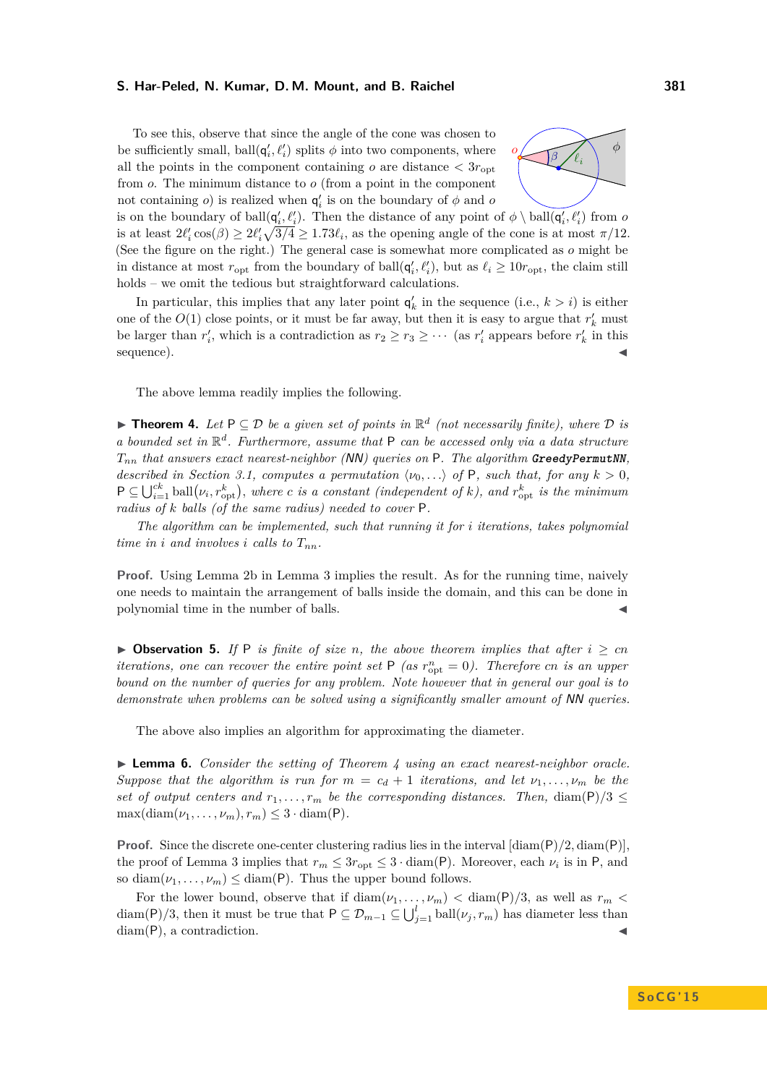To see this, observe that since the angle of the cone was chosen to be sufficiently small,  $\text{ball}(\mathbf{q}'_i, \ell'_i)$  splits  $\phi$  into two components, where all the points in the component containing *o* are distance  $\langle 3r_{\text{ont}} \rangle$ from *o*. The minimum distance to *o* (from a point in the component not containing *o*) is realized when  $q'_i$  is on the boundary of  $\phi$  and *o* 



is on the boundary of ball $(q'_i, \ell'_i)$ . Then the distance of any point of  $\phi \setminus \text{ball}(q'_i, \ell'_i)$  from *o* is at least  $2\ell'_i \cos(\beta) \geq 2\ell'_i \sqrt{3/4} \geq 1.73\ell_i$ , as the opening angle of the cone is at most  $\pi/12$ . (See the figure on the right.) The general case is somewhat more complicated as *o* might be in distance at most  $r_{opt}$  from the boundary of ball $(q'_i, \ell'_i)$ , but as  $\ell_i \geq 10r_{opt}$ , the claim still holds – we omit the tedious but straightforward calculations.

In particular, this implies that any later point  $q'_k$  in the sequence (i.e.,  $k > i$ ) is either one of the  $O(1)$  close points, or it must be far away, but then it is easy to argue that  $r'_{k}$  must be larger than  $r'_i$ , which is a contradiction as  $r_2 \ge r_3 \ge \cdots$  (as  $r'_i$  appears before  $r'_k$  in this sequence).

The above lemma readily implies the following.

<span id="page-7-0"></span>**► Theorem 4.** Let  $P ⊆ D$  be a given set of points in  $\mathbb{R}^d$  (not necessarily finite), where  $D$  is *a bounded set in* R *d . Furthermore, assume that* P *can be accessed only via a data structure Tnn that answers exact nearest-neighbor (*NN*) queries on* P*. The algorithm* **GreedyPermutNN***, described in Section [3.1,](#page-4-1) computes a permutation*  $\langle v_0, \ldots \rangle$  *of* P*, such that, for any*  $k > 0$ *,*  $P \subseteq \bigcup_{i=1}^{ck} \text{ball}(\nu_i, r_{\text{opt}}^k)$ , where *c* is a constant (independent of *k*), and  $r_{\text{opt}}^k$  is the minimum *radius of k balls (of the same radius) needed to cover* P*.*

*The algorithm can be implemented, such that running it for i iterations, takes polynomial time in i and involves i calls to*  $T_{nn}$ *.* 

**Proof.** Using Lemma [2b](#page-4-2) in Lemma [3](#page-5-0) implies the result. As for the running time, naively one needs to maintain the arrangement of balls inside the domain, and this can be done in polynomial time in the number of balls.

▶ Observation 5. If P is finite of size n, the above theorem implies that after  $i ≥ cn$ *iterations, one can recover the entire point set*  $P$  *(as*  $r_{\text{opt}}^n = 0$ *). Therefore cn is an upper bound on the number of queries for any problem. Note however that in general our goal is to demonstrate when problems can be solved using a significantly smaller amount of* NN *queries.*

The above also implies an algorithm for approximating the diameter.

<span id="page-7-1"></span>I **Lemma 6.** *Consider the setting of Theorem [4](#page-7-0) using an exact nearest-neighbor oracle. Suppose that the algorithm is run for*  $m = c_d + 1$  *iterations, and let*  $\nu_1, \ldots, \nu_m$  *be the set of output centers and*  $r_1, \ldots, r_m$  *be the corresponding distances. Then,* diam(P)/3  $\leq$  $\max(\text{diam}(\nu_1,\ldots,\nu_m),r_m)\leq 3\cdot \text{diam}(\mathsf{P}).$ 

**Proof.** Since the discrete one-center clustering radius lies in the interval  $[\text{diam}(P)/2, \text{diam}(P)]$ , the proof of Lemma [3](#page-5-0) implies that  $r_m \leq 3r_{\text{opt}} \leq 3 \cdot \text{diam}(\mathsf{P})$ . Moreover, each  $\nu_i$  is in P, and so diam $(\nu_1, \ldots, \nu_m) \leq \text{diam}(P)$ . Thus the upper bound follows.

For the lower bound, observe that if  $\text{diam}(\nu_1, \ldots, \nu_m) < \text{diam}(P)/3$ , as well as  $r_m <$ diam(P)/3, then it must be true that  $P \subseteq \mathcal{D}_{m-1} \subseteq \bigcup_{j=1}^{l} \text{ball}(\nu_j, r_m)$  has diameter less than  $diam(P)$ , a contradiction.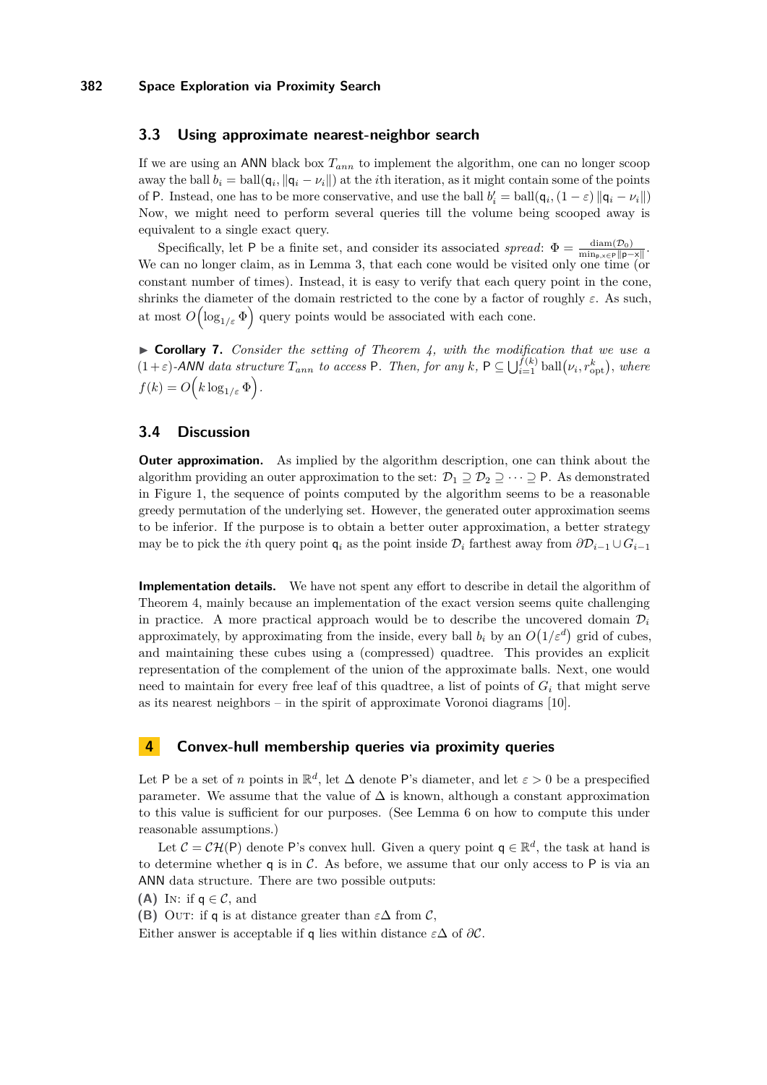## **3.3 Using approximate nearest-neighbor search**

If we are using an ANN black box  $T_{ann}$  to implement the algorithm, one can no longer scoop away the ball  $b_i = \text{ball}(q_i, \|q_i - \nu_i\|)$  at the *i*th iteration, as it might contain some of the points of P. Instead, one has to be more conservative, and use the ball  $b'_i = \text{ball}(\mathbf{q}_i, (1 - \varepsilon) ||\mathbf{q}_i - \nu_i||)$ Now, we might need to perform several queries till the volume being scooped away is equivalent to a single exact query.

Specifically, let P be a finite set, and consider its associated *spread*:  $\Phi = \frac{\text{diam}(D_0)}{\text{min}_{p, x \in P} ||p - x||}$ . We can no longer claim, as in Lemma [3,](#page-5-0) that each cone would be visited only one time (or constant number of times). Instead, it is easy to verify that each query point in the cone, shrinks the diameter of the domain restricted to the cone by a factor of roughly  $\varepsilon$ . As such, at most  $O\left(\log_{1/\varepsilon} \Phi\right)$  query points would be associated with each cone.

I **Corollary 7.** *Consider the setting of Theorem [4,](#page-7-0) with the modification that we use a*  $(1+\varepsilon)$ -ANN data structure  $T_{ann}$  to access P. Then, for any k,  $P \subseteq \bigcup_{i=1}^{f(k)} \text{ball}(\nu_i, r_{\text{opt}}^k)$ , where  $f(k) = O(k \log_{1/\varepsilon} \Phi).$ 

# **3.4 Discussion**

**Outer approximation.** As implied by the algorithm description, one can think about the algorithm providing an outer approximation to the set:  $\mathcal{D}_1 \supseteq \mathcal{D}_2 \supseteq \cdots \supseteq P$ . As demonstrated in Figure [1,](#page-6-0) the sequence of points computed by the algorithm seems to be a reasonable greedy permutation of the underlying set. However, the generated outer approximation seems to be inferior. If the purpose is to obtain a better outer approximation, a better strategy may be to pick the *i*th query point  $q_i$  as the point inside  $\mathcal{D}_i$  farthest away from  $\partial \mathcal{D}_{i-1} \cup G_{i-1}$ 

**Implementation details.** We have not spent any effort to describe in detail the algorithm of Theorem [4,](#page-7-0) mainly because an implementation of the exact version seems quite challenging in practice. A more practical approach would be to describe the uncovered domain  $\mathcal{D}_i$ approximately, by approximating from the inside, every ball  $b_i$  by an  $O(1/\varepsilon^d)$  grid of cubes, and maintaining these cubes using a (compressed) quadtree. This provides an explicit representation of the complement of the union of the approximate balls. Next, one would need to maintain for every free leaf of this quadtree, a list of points of  $G_i$  that might serve as its nearest neighbors – in the spirit of approximate Voronoi diagrams [\[10\]](#page-14-18).

# <span id="page-8-0"></span>**4 Convex-hull membership queries via proximity queries**

Let P be a set of *n* points in  $\mathbb{R}^d$ , let  $\Delta$  denote P's diameter, and let  $\varepsilon > 0$  be a prespecified parameter. We assume that the value of  $\Delta$  is known, although a constant approximation to this value is sufficient for our purposes. (See Lemma [6](#page-7-1) on how to compute this under reasonable assumptions.)

Let  $\mathcal{C} = \mathcal{C}\mathcal{H}(\mathsf{P})$  denote P's convex hull. Given a query point  $\mathsf{q} \in \mathbb{R}^d$ , the task at hand is to determine whether  $q$  is in  $C$ . As before, we assume that our only access to  $P$  is via an ANN data structure. There are two possible outputs:

**(A)** In: if  $q \in \mathcal{C}$ , and

**(B)** OUT: if **q** is at distance greater than  $\varepsilon \Delta$  from C,

Either answer is acceptable if **q** lies within distance  $\varepsilon \Delta$  of  $\partial \mathcal{C}$ .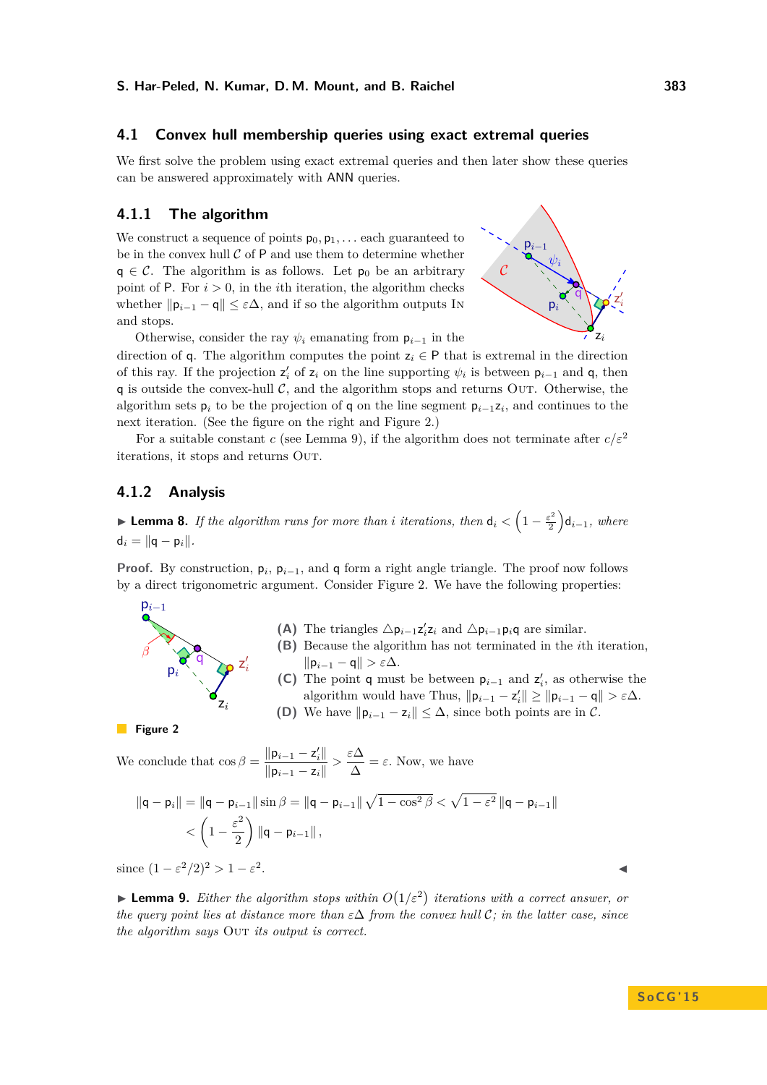## **4.1 Convex hull membership queries using exact extremal queries**

We first solve the problem using exact extremal queries and then later show these queries can be answered approximately with ANN queries.

## <span id="page-9-3"></span>**4.1.1 The algorithm**

We construct a sequence of points  $p_0, p_1, \ldots$  each guaranteed to be in the convex hull  $C$  of  $P$  and use them to determine whether  $q \in \mathcal{C}$ . The algorithm is as follows. Let  $p_0$  be an arbitrary point of  $P$ . For  $i > 0$ , in the *i*th iteration, the algorithm checks whether  $\|\mathbf{p}_{i-1} - \mathbf{q}\| \leq \varepsilon \Delta$ , and if so the algorithm outputs In and stops.



Otherwise, consider the ray  $\psi_i$  emanating from  $p_{i-1}$  in the

direction of **q**. The algorithm computes the point  $z_i \in P$  that is extremal in the direction of this ray. If the projection  $z_i'$  of  $z_i$  on the line supporting  $\psi_i$  is between  $p_{i-1}$  and q, then q is outside the convex-hull  $\mathcal{C}$ , and the algorithm stops and returns Out. Otherwise, the algorithm sets  $p_i$  to be the projection of q on the line segment  $p_{i-1}z_i$ , and continues to the next iteration. (See the figure on the right and Figure [2.](#page-9-0))

For a suitable constant *c* (see Lemma [9\)](#page-9-1), if the algorithm does not terminate after  $c/\varepsilon^2$ iterations, it stops and returns Out.

## **4.1.2 Analysis**

<span id="page-9-2"></span>**Example 1** Lemma 8. If the algorithm runs for more than *i* iterations, then  $d_i < \left(1 - \frac{\varepsilon^2}{2}\right)$  $\frac{e^2}{2}$ **d**<sub>*i*−1</sub>*, where*  $d_i = ||q - p_i||.$ 

**Proof.** By construction,  $p_i$ ,  $p_{i-1}$ , and q form a right angle triangle. The proof now follows by a direct trigonometric argument. Consider Figure [2.](#page-9-0) We have the following properties:



- **(A)** The triangles  $\Delta p_{i-1}z_i'z_i$  and  $\Delta p_{i-1}p_iq$  are similar.
- **(B)** Because the algorithm has not terminated in the *i*th iteration,  $||p_{i-1} - q|| > εΔ.$
- **(C)** The point **q** must be between  $p_{i-1}$  and  $z'_{i}$ , as otherwise the algorithm would have Thus,  $\|\mathbf{p}_{i-1} - \mathbf{z}'_i\| \ge \|\mathbf{p}_{i-1} - \mathbf{q}\| > \varepsilon \Delta$ . **(D)** We have  $\|\mathbf{p}_{i-1} - \mathbf{z}_i\| \leq \Delta$ , since both points are in C.

<span id="page-9-0"></span>**Figure 2** 

We conclude that 
$$
\cos \beta = \frac{\|\mathbf{p}_{i-1} - \mathbf{z}'_i\|}{\|\mathbf{p}_{i-1} - \mathbf{z}_i\|} > \frac{\varepsilon \Delta}{\Delta} = \varepsilon
$$
. Now, we have

$$
\|\mathbf{q} - \mathbf{p}_i\| = \|\mathbf{q} - \mathbf{p}_{i-1}\| \sin \beta = \|\mathbf{q} - \mathbf{p}_{i-1}\| \sqrt{1 - \cos^2 \beta} < \sqrt{1 - \varepsilon^2} \|\mathbf{q} - \mathbf{p}_{i-1}\| < \left(1 - \frac{\varepsilon^2}{2}\right) \|\mathbf{q} - \mathbf{p}_{i-1}\|,
$$

since  $(1 - \varepsilon^2/2)^2 > 1 - \varepsilon^2$ . January 1980, the contract of the contract of the contract of the contract of

<span id="page-9-1"></span>**Lemma 9.** *Either the algorithm stops within*  $O(1/\varepsilon^2)$  *iterations with a correct answer, or the query point lies at distance more than ε*∆ *from the convex hull* C*; in the latter case, since the algorithm says* OUT *its output is correct.*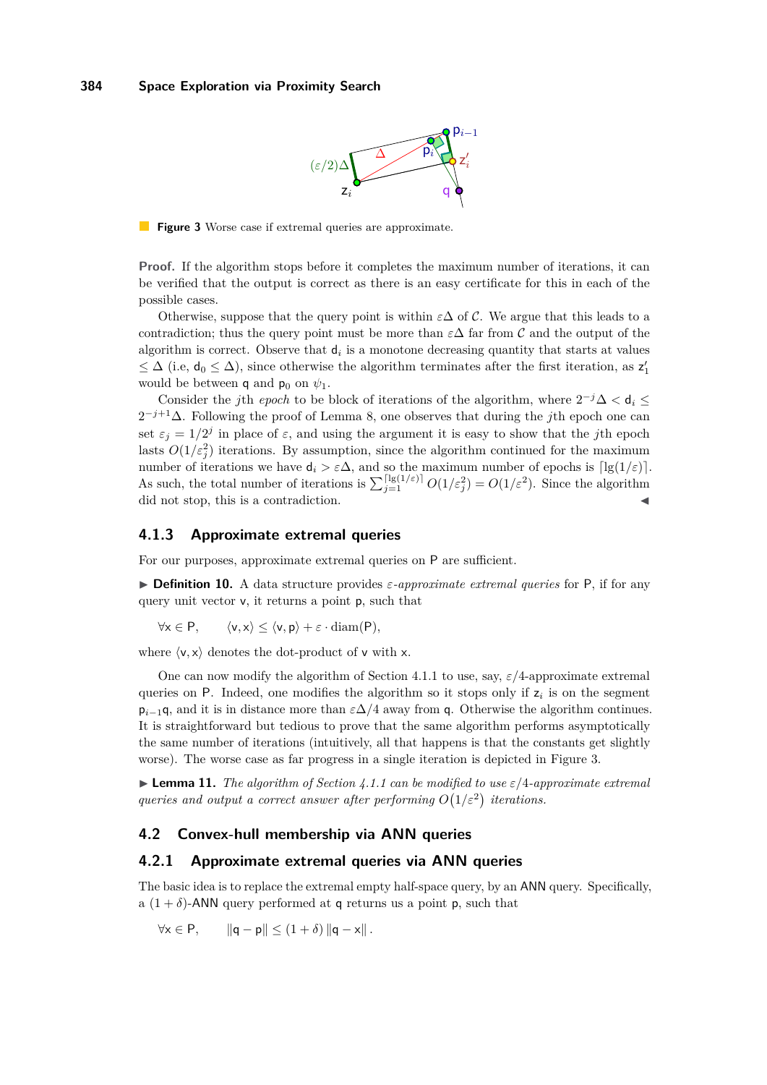

<span id="page-10-0"></span>**Figure 3** Worse case if extremal queries are approximate.

**Proof.** If the algorithm stops before it completes the maximum number of iterations, it can be verified that the output is correct as there is an easy certificate for this in each of the possible cases.

Otherwise, suppose that the query point is within  $\varepsilon\Delta$  of C. We argue that this leads to a contradiction; thus the query point must be more than  $\varepsilon\Delta$  far from C and the output of the algorithm is correct. Observe that d*<sup>i</sup>* is a monotone decreasing quantity that starts at values  $\leq \Delta$  (i.e,  $d_0 \leq \Delta$ ), since otherwise the algorithm terminates after the first iteration, as  $z'_1$ would be between **q** and **p**<sub>0</sub> on  $\psi_1$ .

Consider the *j*th *epoch* to be block of iterations of the algorithm, where  $2^{-j}\Delta < d_i \leq$ 2 <sup>−</sup>*j*+1∆. Following the proof of Lemma [8,](#page-9-2) one observes that during the *j*th epoch one can set  $\varepsilon_j = 1/2^j$  in place of  $\varepsilon$ , and using the argument it is easy to show that the *j*th epoch lasts  $O(1/\varepsilon_j^2)$  iterations. By assumption, since the algorithm continued for the maximum number of iterations we have  $d_i > \varepsilon \Delta$ , and so the maximum number of epochs is  $\lceil \lg(1/\varepsilon) \rceil$ . As such, the total number of iterations is  $\sum_{j=1}^{\lceil \lg(1/\varepsilon) \rceil} O(1/\varepsilon_j^2) = O(1/\varepsilon^2)$ . Since the algorithm did not stop, this is a contradiction.

#### **4.1.3 Approximate extremal queries**

For our purposes, approximate extremal queries on P are sufficient.

 $\triangleright$  **Definition 10.** A data structure provides  $\varepsilon$ -approximate extremal queries for P, if for any query unit vector v, it returns a point p, such that

$$
\forall x \in P, \qquad \langle v, x \rangle \le \langle v, p \rangle + \varepsilon \cdot \operatorname{diam}(P),
$$

where  $\langle v, x \rangle$  denotes the dot-product of v with x.

One can now modify the algorithm of Section [4.1.1](#page-9-3) to use, say, *ε/*4-approximate extremal queries on P. Indeed, one modifies the algorithm so it stops only if z*<sup>i</sup>* is on the segment  $p_{i-1}$ q, and it is in distance more than  $\varepsilon\Delta/4$  away from q. Otherwise the algorithm continues. It is straightforward but tedious to prove that the same algorithm performs asymptotically the same number of iterations (intuitively, all that happens is that the constants get slightly worse). The worse case as far progress in a single iteration is depicted in Figure [3.](#page-10-0)

I **Lemma 11.** *The algorithm of Section [4.1.1](#page-9-3) can be modified to use ε/*4*-approximate extremal queries and output a correct answer after performing*  $O(1/\varepsilon^2)$  *iterations.* 

#### **4.2 Convex-hull membership via ANN queries**

#### **4.2.1 Approximate extremal queries via ANN queries**

The basic idea is to replace the extremal empty half-space query, by an ANN query. Specifically, a  $(1 + \delta)$ -ANN query performed at q returns us a point p, such that

$$
\forall x \in P, \qquad \|q - p\| \le (1 + \delta) \|q - x\|.
$$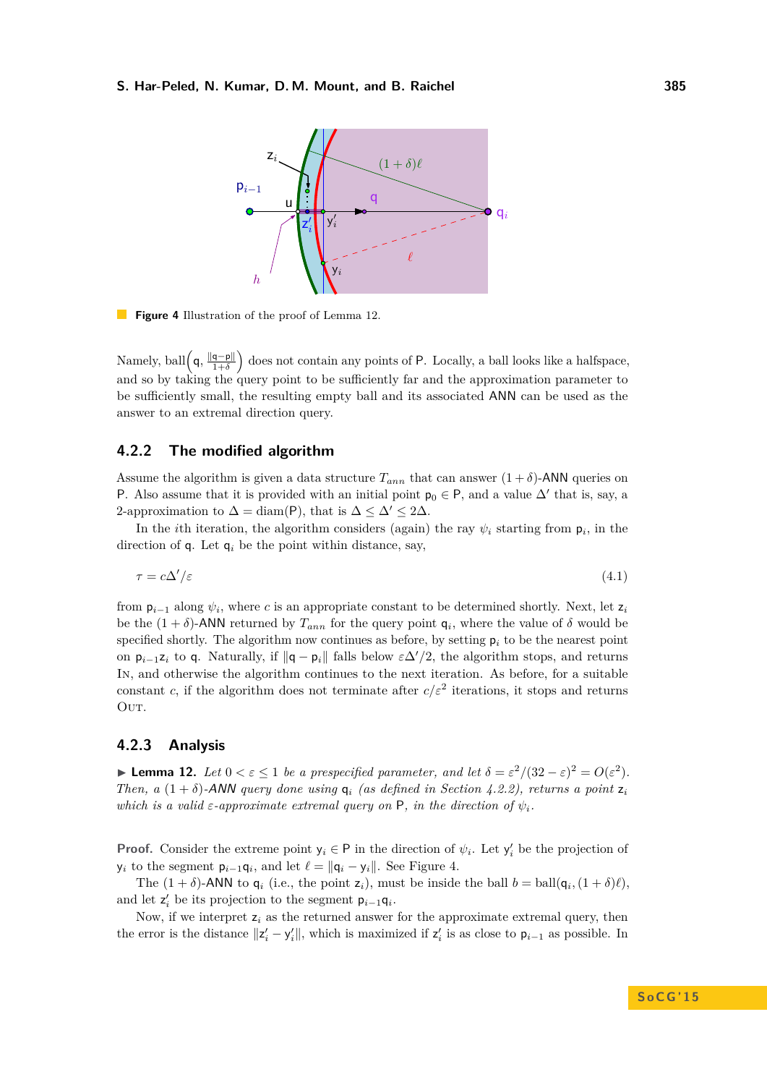<span id="page-11-2"></span>

**Figure 4** Illustration of the proof of Lemma [12.](#page-11-0)

Namely, ball  $\left(\mathsf{q}, \frac{\|\mathsf{q}-\mathsf{p}\|}{1+\delta}\right)$  $\frac{\mathsf{q}-\mathsf{p}\|}{1+\delta}$  does not contain any points of P. Locally, a ball looks like a halfspace, and so by taking the query point to be sufficiently far and the approximation parameter to be sufficiently small, the resulting empty ball and its associated ANN can be used as the answer to an extremal direction query.

## <span id="page-11-1"></span>**4.2.2 The modified algorithm**

Assume the algorithm is given a data structure  $T_{ann}$  that can answer  $(1 + \delta)$ -ANN queries on P. Also assume that it is provided with an initial point  $p_0 \in P$ , and a value  $\Delta'$  that is, say, a 2-approximation to  $\Delta = \text{diam}(P)$ , that is  $\Delta \leq \Delta' \leq 2\Delta$ .

In the *i*th iteration, the algorithm considers (again) the ray  $\psi_i$  starting from  $p_i$ , in the direction of  $q$ . Let  $q_i$  be the point within distance, say,

<span id="page-11-3"></span>
$$
\tau = c\Delta'/\varepsilon \tag{4.1}
$$

from  $p_{i-1}$  along  $\psi_i$ , where *c* is an appropriate constant to be determined shortly. Next, let  $z_i$ be the  $(1 + \delta)$ -ANN returned by  $T_{ann}$  for the query point  $q_i$ , where the value of  $\delta$  would be specified shortly. The algorithm now continues as before, by setting  $p_i$  to be the nearest point on  $p_{i-1}z_i$  to q. Naturally, if  $||q - p_i||$  falls below  $\varepsilon \Delta'/2$ , the algorithm stops, and returns In, and otherwise the algorithm continues to the next iteration. As before, for a suitable constant *c*, if the algorithm does not terminate after  $c/\varepsilon^2$  iterations, it stops and returns OUT.

## **4.2.3 Analysis**

<span id="page-11-0"></span>**► Lemma 12.** *Let*  $0 < \varepsilon \leq 1$  *be a prespecified parameter, and let*  $\delta = \varepsilon^2/(32 - \varepsilon)^2 = O(\varepsilon^2)$ *. Then, a*  $(1 + \delta)$ -ANN *query done using*  $q_i$  *(as defined in Section [4.2.2\)](#page-11-1), returns a point*  $z_i$ *which is a valid*  $\varepsilon$ -*approximate extremal query on* P, *in the direction of*  $\psi_i$ .

**Proof.** Consider the extreme point  $y_i \in P$  in the direction of  $\psi_i$ . Let  $y'_i$  be the projection of  $y_i$  to the segment  $p_{i-1}q_i$ , and let  $\ell = ||q_i - y_i||$ . See Figure [4.](#page-11-2)

The  $(1 + \delta)$ -ANN to  $\mathbf{q}_i$  (i.e., the point  $\mathbf{z}_i$ ), must be inside the ball  $b = \text{ball}(\mathbf{q}_i, (1 + \delta)\ell)$ , and let  $z'_i$  be its projection to the segment  $p_{i-1}q_i$ .

Now, if we interpret z*<sup>i</sup>* as the returned answer for the approximate extremal query, then the error is the distance  $||z'_i - y'_i||$ , which is maximized if  $z'_i$  is as close to  $p_{i-1}$  as possible. In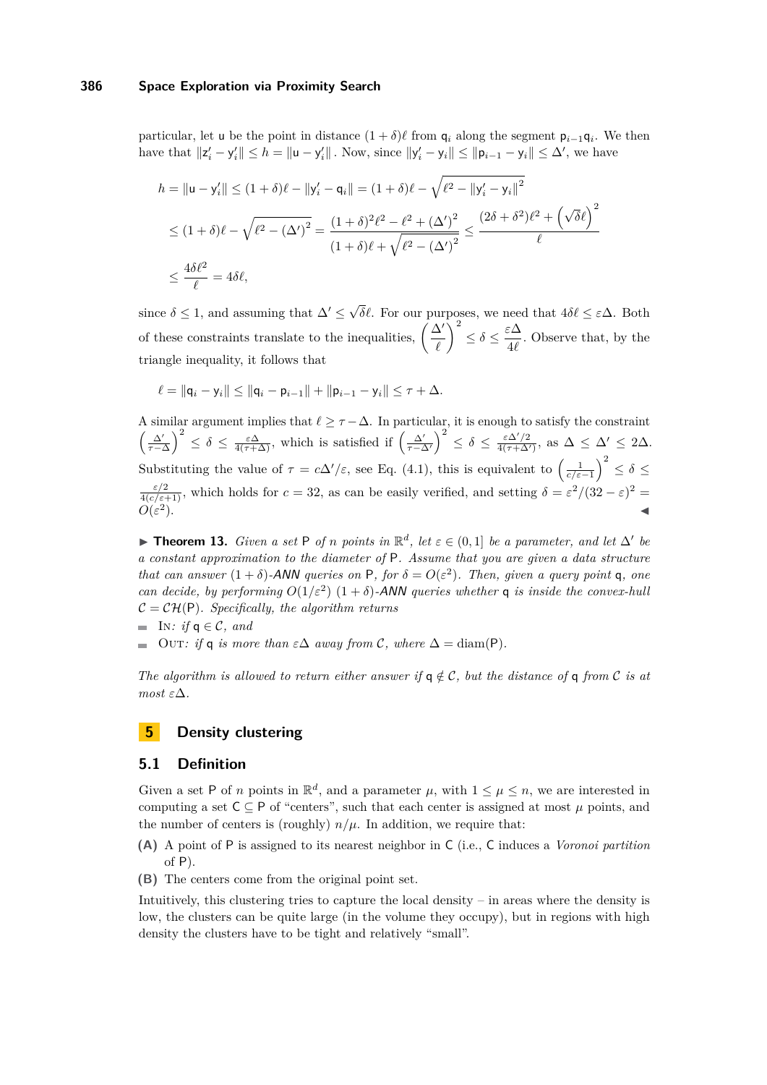#### **386 Space Exploration via Proximity Search**

particular, let u be the point in distance  $(1 + \delta)\ell$  from  $\mathsf{q}_i$  along the segment  $\mathsf{p}_{i-1}\mathsf{q}_i$ . We then have that  $||z'_i - y'_i|| \leq h = ||u - y'_i||$ . Now, since  $||y'_i - y_i|| \leq ||p_{i-1} - y_i|| \leq \Delta'$ , we have

$$
h = ||\mathbf{u} - \mathbf{y}'_i|| \le (1 + \delta)\ell - ||\mathbf{y}'_i - \mathbf{q}_i|| = (1 + \delta)\ell - \sqrt{\ell^2 - ||\mathbf{y}'_i - \mathbf{y}_i||^2}
$$
  
\n
$$
\le (1 + \delta)\ell - \sqrt{\ell^2 - (\Delta')^2} = \frac{(1 + \delta)^2 \ell^2 - \ell^2 + (\Delta')^2}{(1 + \delta)\ell + \sqrt{\ell^2 - (\Delta')^2}} \le \frac{(2\delta + \delta^2)\ell^2 + (\sqrt{\delta}\ell)^2}{\ell}
$$
  
\n
$$
\le \frac{4\delta\ell^2}{\ell} = 4\delta\ell,
$$

since  $\delta \leq 1$ , and assuming that  $\Delta' \leq \sqrt{ }$ *δ* $\ell$ . For our purposes, we need that  $4\delta\ell \leq \varepsilon \Delta$ . Both of these constraints translate to the inequalities,  $\left(\frac{\Delta'}{2}\right)$  $\ell$  $\bigg\}^2 \leq \delta \leq \frac{\varepsilon \Delta}{4\ell}$  $\frac{2}{4\ell}$ . Observe that, by the triangle inequality, it follows that

$$
\ell = ||\mathsf{q}_i - \mathsf{y}_i|| \le ||\mathsf{q}_i - \mathsf{p}_{i-1}|| + ||\mathsf{p}_{i-1} - \mathsf{y}_i|| \le \tau + \Delta.
$$

A similar argument implies that  $\ell \geq \tau - \Delta$ . In particular, it is enough to satisfy the constraint  $\left(\frac{\Delta'}{\tau-\Delta}\right)^2 \leq \delta \leq \frac{\varepsilon\Delta}{4(\tau+\Delta)},$  which is satisfied if  $\left(\frac{\Delta'}{\tau-\Delta'}\right)^2 \leq \delta \leq \frac{\varepsilon\Delta'/2}{4(\tau+\Delta)}.$  $\frac{\varepsilon \Delta'/2}{4(\tau + \Delta')}$ , as  $\Delta \leq \Delta' \leq 2\Delta$ . Substituting the value of  $\tau = c\Delta'/\varepsilon$ , see Eq. [\(4.1\)](#page-11-3), this is equivalent to  $\left(\frac{1}{c/\varepsilon-1}\right)^2 \le \delta \le$  $\frac{\varepsilon/2}{4(c/\varepsilon+1)}$ , which holds for  $c = 32$ , as can be easily verified, and setting  $\delta = \varepsilon^2/(32 - \varepsilon)^2 =$  $O(\varepsilon^2)$ .

**► Theorem 13.** *Given a set*  $P$  *of n points in*  $\mathbb{R}^d$ *, let*  $\varepsilon \in (0,1]$  *be a parameter, and let*  $\Delta'$  *be a constant approximation to the diameter of* P*. Assume that you are given a data structure that can answer*  $(1 + \delta)$ -ANN *queries on* P, for  $\delta = O(\varepsilon^2)$ . Then, given a query point q, one *can decide, by performing*  $O(1/\varepsilon^2)$   $(1+\delta)$ -ANN *queries whether* **q** *is inside the convex-hull*  $C = \mathcal{CH}(P)$ *. Specifically, the algorithm returns*  $■$  In: *if*  $q \in \mathcal{C}$ *, and* 

OUT: if **q** is more than  $\epsilon \Delta$  *away from* C, where  $\Delta = \text{diam}(P)$ .

*The algorithm is allowed to return either answer if*  $q \notin C$ , but the distance of q from C is at *most*  $\varepsilon \Delta$ *.* 

# <span id="page-12-0"></span>**5 Density clustering**

#### **5.1 Definition**

Given a set P of *n* points in  $\mathbb{R}^d$ , and a parameter  $\mu$ , with  $1 \leq \mu \leq n$ , we are interested in computing a set  $C \subseteq P$  of "centers", such that each center is assigned at most  $\mu$  points, and the number of centers is (roughly)  $n/\mu$ . In addition, we require that:

- **(A)** A point of P is assigned to its nearest neighbor in C (i.e., C induces a *Voronoi partition* of P).
- **(B)** The centers come from the original point set.

Intuitively, this clustering tries to capture the local density – in areas where the density is low, the clusters can be quite large (in the volume they occupy), but in regions with high density the clusters have to be tight and relatively "small".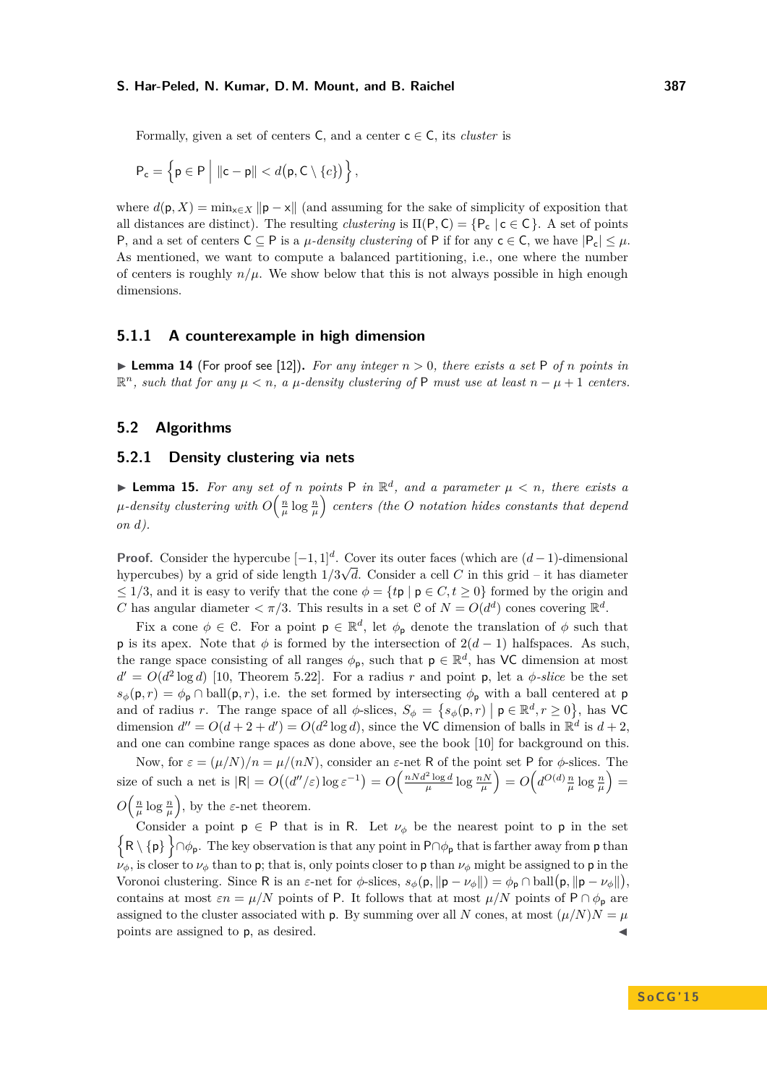Formally, given a set of centers  $C$ , and a center  $c \in C$ , its *cluster* is

$$
\mathsf{P}_{\mathsf{c}} = \left\{ \mathsf{p} \in \mathsf{P} \middle| \|\mathsf{c} - \mathsf{p}\| < d\big(\mathsf{p}, \mathsf{C} \setminus \{c\}\big) \right\},
$$

where  $d(\mathbf{p}, X) = \min_{\mathbf{x} \in X} ||\mathbf{p} - \mathbf{x}||$  (and assuming for the sake of simplicity of exposition that all distances are distinct). The resulting *clustering* is  $\Pi(P, C) = \{P_c \mid c \in C\}$ . A set of points P, and a set of centers  $C \subseteq P$  is a *µ*-density clustering of P if for any  $c \in C$ , we have  $|P_c| \leq \mu$ . As mentioned, we want to compute a balanced partitioning, i.e., one where the number of centers is roughly  $n/\mu$ . We show below that this is not always possible in high enough dimensions.

## **5.1.1 A counterexample in high dimension**

**Example 14** (For proof see [\[12\]](#page-14-0)). For any integer  $n > 0$ , there exists a set P of *n* points in  $\mathbb{R}^n$ , such that for any  $\mu < n$ , a  $\mu$ -density clustering of P must use at least  $n - \mu + 1$  centers.

## **5.2 Algorithms**

## **5.2.1 Density clustering via nets**

**Lemma 15.** For any set of *n* points P in  $\mathbb{R}^d$ , and a parameter  $\mu < n$ , there exists a  $\mu$ -density clustering with  $O\Big(\frac{n}{\mu}\log\frac{n}{\mu}\Big)$  centers (the  $O$  notation hides constants that depend *on d).*

**Proof.** Consider the hypercube  $[-1, 1]^d$ . Cover its outer faces (which are  $(d-1)$ -dimensional hypercubes) by a grid of side length  $1/3\sqrt{d}$ . Consider a cell C in this grid – it has diameter  $\leq 1/3$ , and it is easy to verify that the cone  $\phi = {\{tp \mid p \in C, t \geq 0\}}$  formed by the origin and *C* has angular diameter  $\langle \pi/3$ . This results in a set C of  $N = O(d^d)$  cones covering  $\mathbb{R}^d$ .

Fix a cone  $\phi \in \mathcal{C}$ . For a point  $p \in \mathbb{R}^d$ , let  $\phi_p$  denote the translation of  $\phi$  such that **p** is its apex. Note that  $\phi$  is formed by the intersection of  $2(d-1)$  halfspaces. As such, the range space consisting of all ranges  $\phi_p$ , such that  $p \in \mathbb{R}^d$ , has VC dimension at most  $d' = O(d^2 \log d)$  [\[10,](#page-14-18) Theorem 5.22]. For a radius *r* and point **p**, let a *φ*-slice be the set  $s_{\phi}(\mathbf{p}, r) = \phi_{\mathbf{p}} \cap \text{ball}(\mathbf{p}, r)$ , i.e. the set formed by intersecting  $\phi_{\mathbf{p}}$  with a ball centered at **p** and of radius *r*. The range space of all  $\phi$ -slices,  $S_{\phi} = \{s_{\phi}(\mathsf{p}, r) \mid \mathsf{p} \in \mathbb{R}^d, r \geq 0\}$ , has VC dimension  $d'' = O(d + 2 + d') = O(d^2 \log d)$ , since the VC dimension of balls in  $\mathbb{R}^d$  is  $d + 2$ , and one can combine range spaces as done above, see the book [\[10\]](#page-14-18) for background on this.

Now, for  $\varepsilon = (\mu/N)/n = \mu/(nN)$ , consider an  $\varepsilon$ -net R of the point set P for  $\phi$ -slices. The size of such a net is  $|\mathsf{R}| = O((d''/\varepsilon) \log \varepsilon^{-1}) = O\left(\frac{nNd^2\log d}{\mu}\log \frac{nN}{\mu}\right) = O\left(d^{O(d)}\frac{n}{\mu}\log \frac{n}{\mu}\right) =$  $O\left(\frac{n}{\mu}\log\frac{n}{\mu}\right)$ , by the *ε*-net theorem.

Consider a point  $p \in P$  that is in R. Let  $\nu_{\phi}$  be the nearest point to p in the set  $\{R \setminus \{p\}\}\cap \phi_{p}$ . The key observation is that any point in P∩ $\phi_{p}$  that is farther away from p than  $\nu_{\phi}$ , is closer to  $\nu_{\phi}$  than to p; that is, only points closer to p than  $\nu_{\phi}$  might be assigned to p in the Voronoi clustering. Since R is an  $\varepsilon$ -net for  $\phi$ -slices,  $s_{\phi}(\mathbf{p}, \|\mathbf{p} - \nu_{\phi}\|) = \phi_{\mathbf{p}} \cap \text{ball}(\mathbf{p}, \|\mathbf{p} - \nu_{\phi}\|)$ , contains at most  $\varepsilon n = \mu/N$  points of P. It follows that at most  $\mu/N$  points of P ∩  $\phi_p$  are assigned to the cluster associated with p. By summing over all *N* cones, at most  $(\mu/N)N = \mu$ points are assigned to p, as desired.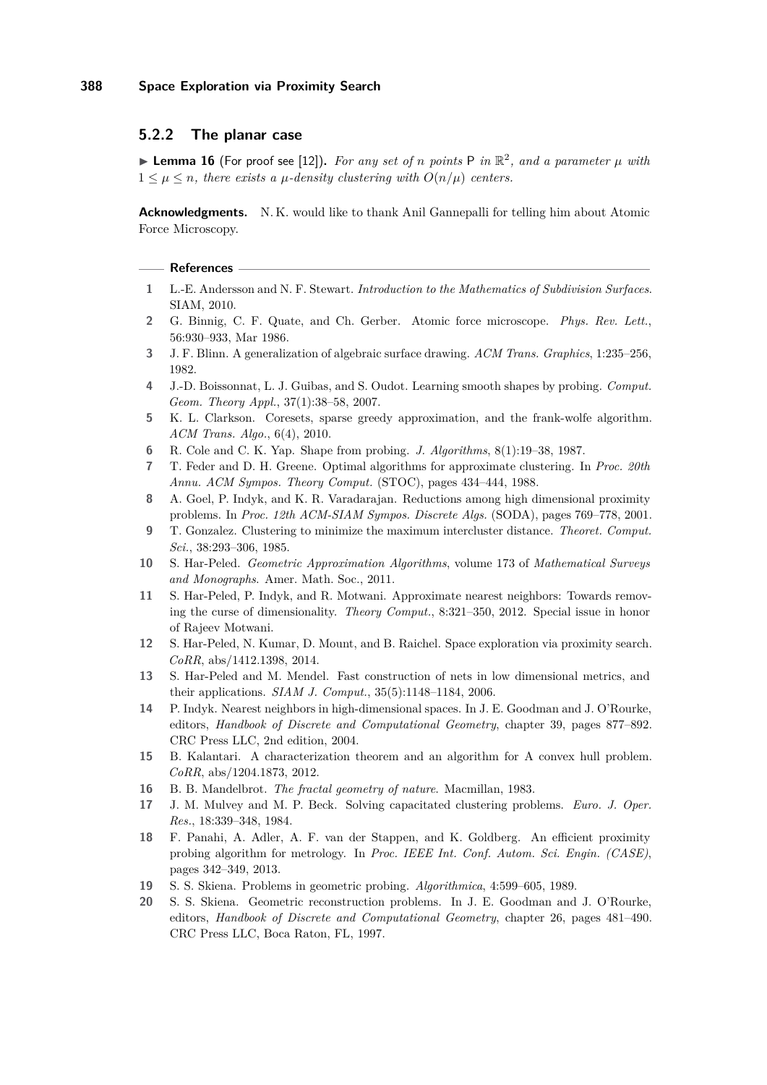## **5.2.2 The planar case**

**Example 16** (For proof see [\[12\]](#page-14-0)). For any set of *n* points P in  $\mathbb{R}^2$ , and a parameter  $\mu$  with  $1 \leq \mu \leq n$ , there exists a  $\mu$ -density clustering with  $O(n/\mu)$  centers.

**Acknowledgments.** N. K. would like to thank Anil Gannepalli for telling him about Atomic Force Microscopy.

#### **References**

- <span id="page-14-7"></span>**1** L.-E. Andersson and N. F. Stewart. *Introduction to the Mathematics of Subdivision Surfaces*. SIAM, 2010.
- <span id="page-14-2"></span>**2** G. Binnig, C. F. Quate, and Ch. Gerber. Atomic force microscope. *Phys. Rev. Lett.*, 56:930–933, Mar 1986.
- <span id="page-14-8"></span>**3** J. F. Blinn. A generalization of algebraic surface drawing. *ACM Trans. Graphics*, 1:235–256, 1982.
- <span id="page-14-5"></span>**4** J.-D. Boissonnat, L. J. Guibas, and S. Oudot. Learning smooth shapes by probing. *Comput. Geom. Theory Appl.*, 37(1):38–58, 2007.
- <span id="page-14-15"></span>**5** K. L. Clarkson. Coresets, sparse greedy approximation, and the frank-wolfe algorithm. *ACM Trans. Algo.*, 6(4), 2010.
- <span id="page-14-3"></span>**6** R. Cole and C. K. Yap. Shape from probing. *J. Algorithms*, 8(1):19–38, 1987.
- <span id="page-14-19"></span>**7** T. Feder and D. H. Greene. Optimal algorithms for approximate clustering. In *Proc. 20th Annu. ACM Sympos. Theory Comput.* (STOC), pages 434–444, 1988.
- <span id="page-14-10"></span>**8** A. Goel, P. Indyk, and K. R. Varadarajan. Reductions among high dimensional proximity problems. In *Proc. 12th ACM-SIAM Sympos. Discrete Algs.* (SODA), pages 769–778, 2001.
- <span id="page-14-13"></span>**9** T. Gonzalez. Clustering to minimize the maximum intercluster distance. *Theoret. Comput. Sci.*, 38:293–306, 1985.
- <span id="page-14-18"></span>**10** S. Har-Peled. *Geometric Approximation Algorithms*, volume 173 of *Mathematical Surveys and Monographs*. Amer. Math. Soc., 2011.
- <span id="page-14-11"></span>**11** S. Har-Peled, P. Indyk, and R. Motwani. Approximate nearest neighbors: Towards removing the curse of dimensionality. *Theory Comput.*, 8:321–350, 2012. Special issue in honor of Rajeev Motwani.
- <span id="page-14-0"></span>**12** S. Har-Peled, N. Kumar, D. Mount, and B. Raichel. Space exploration via proximity search. *CoRR*, abs/1412.1398, 2014.
- <span id="page-14-14"></span>**13** S. Har-Peled and M. Mendel. Fast construction of nets in low dimensional metrics, and their applications. *SIAM J. Comput.*, 35(5):1148–1184, 2006.
- <span id="page-14-12"></span>**14** P. Indyk. Nearest neighbors in high-dimensional spaces. In J. E. Goodman and J. O'Rourke, editors, *Handbook of Discrete and Computational Geometry*, chapter 39, pages 877–892. CRC Press LLC, 2nd edition, 2004.
- <span id="page-14-16"></span>**15** B. Kalantari. A characterization theorem and an algorithm for A convex hull problem. *CoRR*, abs/1204.1873, 2012.
- <span id="page-14-6"></span>**16** B. B. Mandelbrot. *The fractal geometry of nature*. Macmillan, 1983.
- <span id="page-14-17"></span>**17** J. M. Mulvey and M. P. Beck. Solving capacitated clustering problems. *Euro. J. Oper. Res.*, 18:339–348, 1984.
- <span id="page-14-9"></span>**18** F. Panahi, A. Adler, A. F. van der Stappen, and K. Goldberg. An efficient proximity probing algorithm for metrology. In *Proc. IEEE Int. Conf. Autom. Sci. Engin. (CASE)*, pages 342–349, 2013.
- <span id="page-14-1"></span>**19** S. S. Skiena. Problems in geometric probing. *Algorithmica*, 4:599–605, 1989.
- <span id="page-14-4"></span>**20** S. S. Skiena. Geometric reconstruction problems. In J. E. Goodman and J. O'Rourke, editors, *Handbook of Discrete and Computational Geometry*, chapter 26, pages 481–490. CRC Press LLC, Boca Raton, FL, 1997.